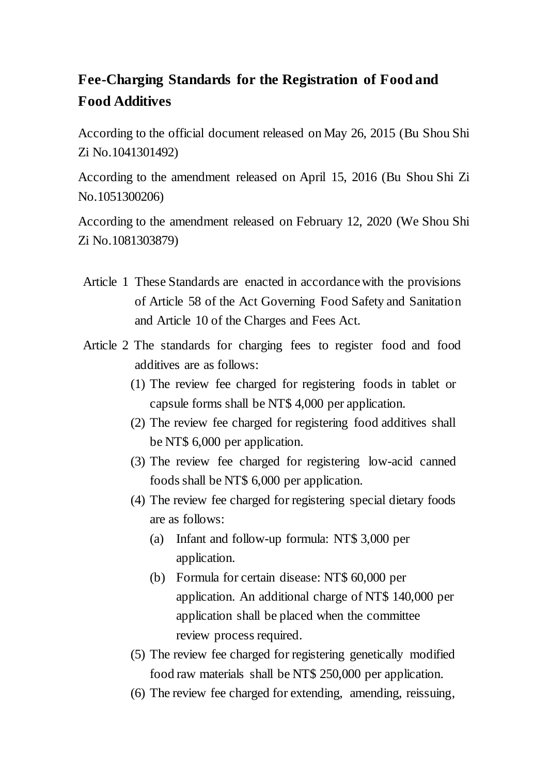## **Fee-Charging Standards for the Registration of Food and Food Additives**

According to the official document released on May 26, 2015 (Bu Shou Shi Zi No.1041301492)

According to the amendment released on April 15, 2016 (Bu Shou Shi Zi No.1051300206)

According to the amendment released on February 12, 2020 (We Shou Shi Zi No.1081303879)

- Article 1 These Standards are enacted in accordance with the provisions of Article 58 of the Act Governing Food Safety and Sanitation and Article 10 of the Charges and Fees Act.
- Article 2 The standards for charging fees to register food and food additives are as follows:
	- (1) The review fee charged for registering foods in tablet or capsule forms shall be NT\$ 4,000 per application.
	- (2) The review fee charged for registering food additives shall be NT\$ 6,000 per application.
	- (3) The review fee charged for registering low-acid canned foods shall be NT\$ 6,000 per application.
	- (4) The review fee charged for registering special dietary foods are as follows:
		- (a) Infant and follow-up formula: NT\$ 3,000 per application.
		- (b) Formula for certain disease: NT\$ 60,000 per application. An additional charge of NT\$ 140,000 per application shall be placed when the committee review process required.
	- (5) The review fee charged for registering genetically modified food raw materials shall be NT\$ 250,000 per application.
	- (6) The review fee charged for extending, amending, reissuing,